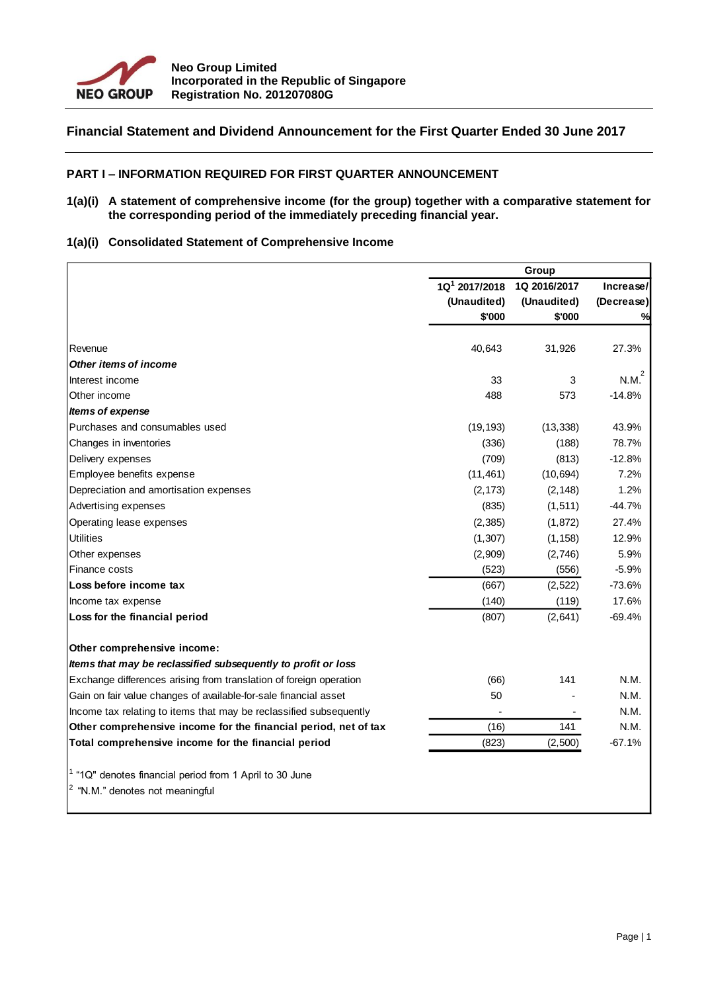

# **Financial Statement and Dividend Announcement for the First Quarter Ended 30 June 2017**

# **PART I – INFORMATION REQUIRED FOR FIRST QUARTER ANNOUNCEMENT**

#### **1(a)(i) A statement of comprehensive income (for the group) together with a comparative statement for the corresponding period of the immediately preceding financial year.**

# **1(a)(i) Consolidated Statement of Comprehensive Income**

|                                                                    | Group                                     |             |            |  |
|--------------------------------------------------------------------|-------------------------------------------|-------------|------------|--|
|                                                                    | 1Q <sup>1</sup> 2017/2018<br>1Q 2016/2017 |             | Increase/  |  |
|                                                                    | (Unaudited)                               | (Unaudited) | (Decrease) |  |
|                                                                    | \$'000                                    | \$'000      | %          |  |
| Revenue                                                            | 40,643                                    | 31,926      | 27.3%      |  |
| Other items of income                                              |                                           |             |            |  |
| Interest income                                                    | 33                                        | 3           | N.M.       |  |
| Other income                                                       | 488                                       | 573         | $-14.8%$   |  |
| Items of expense                                                   |                                           |             |            |  |
| Purchases and consumables used                                     | (19, 193)                                 | (13, 338)   | 43.9%      |  |
| Changes in inventories                                             | (336)                                     | (188)       | 78.7%      |  |
| Delivery expenses                                                  | (709)                                     | (813)       | $-12.8%$   |  |
| Employee benefits expense                                          | (11, 461)                                 | (10, 694)   | 7.2%       |  |
| Depreciation and amortisation expenses                             | (2, 173)                                  | (2, 148)    | 1.2%       |  |
| Advertising expenses                                               | (835)                                     | (1, 511)    | $-44.7%$   |  |
| Operating lease expenses                                           | (2, 385)                                  | (1, 872)    | 27.4%      |  |
| <b>Utilities</b>                                                   | (1, 307)                                  | (1, 158)    | 12.9%      |  |
| Other expenses                                                     | (2,909)                                   | (2,746)     | 5.9%       |  |
| Finance costs                                                      | (523)                                     | (556)       | $-5.9%$    |  |
| Loss before income tax                                             | (667)                                     | (2,522)     | $-73.6%$   |  |
| Income tax expense                                                 | (140)                                     | (119)       | 17.6%      |  |
| Loss for the financial period                                      | (807)                                     | (2,641)     | $-69.4%$   |  |
| Other comprehensive income:                                        |                                           |             |            |  |
| Items that may be reclassified subsequently to profit or loss      |                                           |             |            |  |
| Exchange differences arising from translation of foreign operation | (66)                                      | 141         | N.M.       |  |
| Gain on fair value changes of available-for-sale financial asset   | 50                                        |             | N.M.       |  |
| Income tax relating to items that may be reclassified subsequently |                                           |             | N.M.       |  |
| Other comprehensive income for the financial period, net of tax    | (16)                                      | 141         | N.M.       |  |
| Total comprehensive income for the financial period                | (823)                                     | (2,500)     | $-67.1%$   |  |
| <sup>1</sup> "1Q" denotes financial period from 1 April to 30 June |                                           |             |            |  |
| <sup>2</sup> "N.M." denotes not meaningful                         |                                           |             |            |  |
|                                                                    |                                           |             |            |  |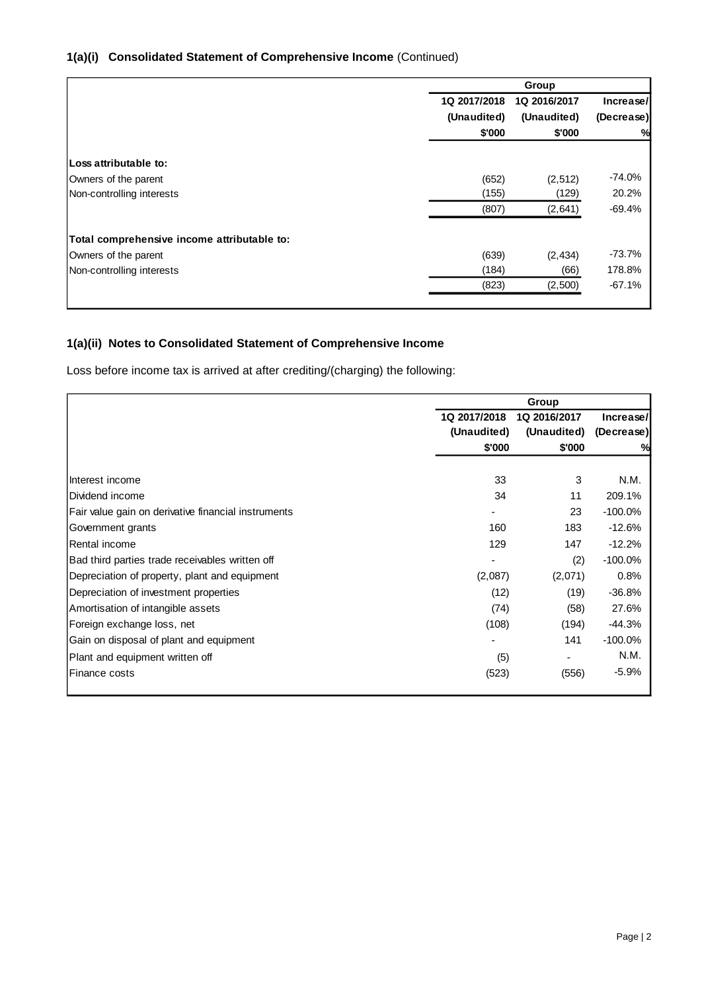# **1(a)(i) Consolidated Statement of Comprehensive Income** (Continued)

|                                             | Group        |              |            |
|---------------------------------------------|--------------|--------------|------------|
|                                             | 1Q 2017/2018 | 1Q 2016/2017 | Increase/  |
|                                             | (Unaudited)  | (Unaudited)  | (Decrease) |
|                                             | \$'000       | \$'000       | %          |
| Loss attributable to:                       |              |              |            |
|                                             |              |              |            |
| Owners of the parent                        | (652)        | (2,512)      | $-74.0%$   |
| Non-controlling interests                   | (155)        | (129)        | 20.2%      |
|                                             | (807)        | (2,641)      | -69.4%     |
| Total comprehensive income attributable to: |              |              |            |
| Owners of the parent                        | (639)        | (2, 434)     | $-73.7%$   |
| Non-controlling interests                   | (184)        | (66)         | 178.8%     |
|                                             | (823)        | (2,500)      | $-67.1%$   |
|                                             |              |              |            |

# **1(a)(ii) Notes to Consolidated Statement of Comprehensive Income**

Loss before income tax is arrived at after crediting/(charging) the following:

|                                                     | Group                                     |             |            |  |
|-----------------------------------------------------|-------------------------------------------|-------------|------------|--|
|                                                     | 1Q 2017/2018<br>1Q 2016/2017<br>Increase/ |             |            |  |
|                                                     | (Unaudited)                               | (Unaudited) | (Decrease) |  |
|                                                     | \$'000                                    | \$'000      | %          |  |
|                                                     |                                           |             |            |  |
| Interest income                                     | 33                                        | 3           | N.M.       |  |
| Dividend income                                     | 34                                        | 11          | 209.1%     |  |
| Fair value gain on derivative financial instruments |                                           | 23          | $-100.0\%$ |  |
| Government grants                                   | 160                                       | 183         | $-12.6%$   |  |
| Rental income                                       | 129                                       | 147         | $-12.2%$   |  |
| Bad third parties trade receivables written off     |                                           | (2)         | $-100.0\%$ |  |
| Depreciation of property, plant and equipment       | (2,087)                                   | (2,071)     | 0.8%       |  |
| Depreciation of investment properties               | (12)                                      | (19)        | $-36.8%$   |  |
| Amortisation of intangible assets                   | (74)                                      | (58)        | 27.6%      |  |
| Foreign exchange loss, net                          | (108)                                     | (194)       | -44.3%     |  |
| Gain on disposal of plant and equipment             |                                           | 141         | $-100.0%$  |  |
| Plant and equipment written off                     | (5)                                       |             | N.M.       |  |
| Finance costs                                       | (523)                                     | (556)       | $-5.9%$    |  |
|                                                     |                                           |             |            |  |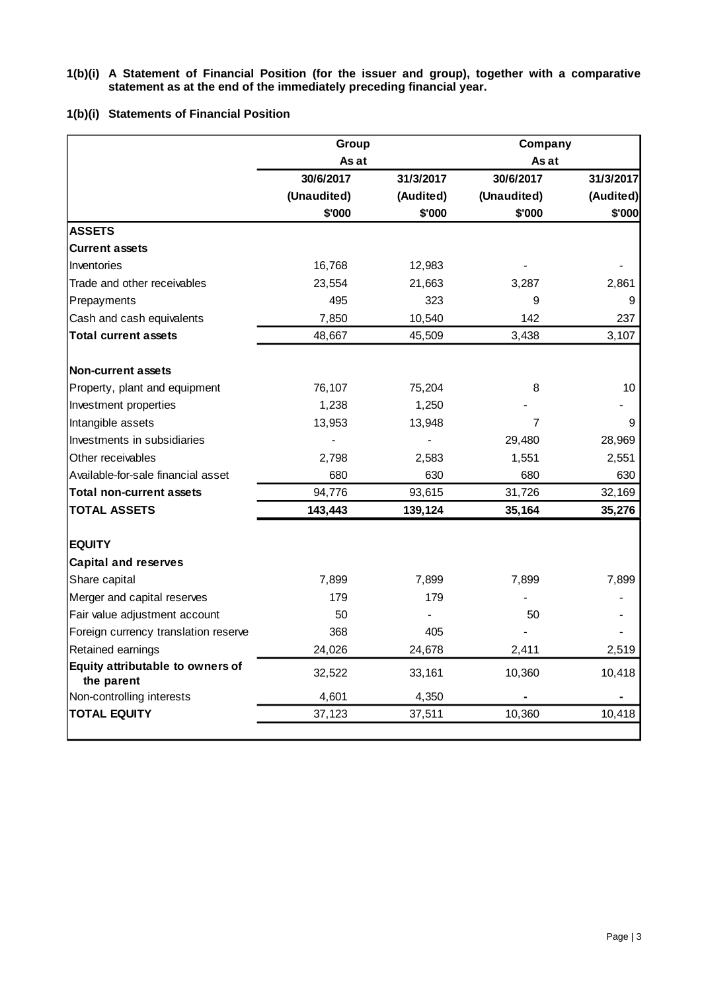#### **1(b)(i) A Statement of Financial Position (for the issuer and group), together with a comparative statement as at the end of the immediately preceding financial year.**

# **1(b)(i) Statements of Financial Position**

|                                                | Group<br>Company |           |             |           |
|------------------------------------------------|------------------|-----------|-------------|-----------|
|                                                | As at            |           | As at       |           |
|                                                | 30/6/2017        | 31/3/2017 | 30/6/2017   | 31/3/2017 |
|                                                | (Unaudited)      | (Audited) | (Unaudited) | (Audited) |
|                                                | \$'000           | \$'000    | \$'000      | \$'000    |
| <b>ASSETS</b>                                  |                  |           |             |           |
| <b>Current assets</b>                          |                  |           |             |           |
| Inventories                                    | 16,768           | 12,983    |             |           |
| Trade and other receivables                    | 23,554           | 21,663    | 3,287       | 2,861     |
| Prepayments                                    | 495              | 323       | 9           | 9         |
| Cash and cash equivalents                      | 7,850            | 10,540    | 142         | 237       |
| <b>Total current assets</b>                    | 48,667           | 45,509    | 3,438       | 3,107     |
| <b>Non-current assets</b>                      |                  |           |             |           |
| Property, plant and equipment                  | 76,107           | 75,204    | 8           | 10        |
| Investment properties                          | 1,238            | 1,250     |             |           |
| Intangible assets                              | 13,953           | 13,948    | 7           | 9         |
| Investments in subsidiaries                    |                  |           | 29,480      | 28,969    |
| Other receivables                              | 2,798            | 2,583     | 1,551       | 2,551     |
| Available-for-sale financial asset             | 680              | 630       | 680         | 630       |
| <b>Total non-current assets</b>                | 94,776           | 93,615    | 31,726      | 32,169    |
| <b>TOTAL ASSETS</b>                            | 143,443          | 139,124   | 35,164      | 35,276    |
| <b>EQUITY</b>                                  |                  |           |             |           |
| <b>Capital and reserves</b>                    |                  |           |             |           |
| Share capital                                  | 7,899            | 7,899     | 7,899       | 7,899     |
| Merger and capital reserves                    | 179              | 179       |             |           |
| Fair value adjustment account                  | 50               |           | 50          |           |
| Foreign currency translation reserve           | 368              | 405       |             |           |
| Retained earnings                              | 24,026           | 24,678    | 2,411       | 2,519     |
| Equity attributable to owners of<br>the parent | 32,522           | 33,161    | 10,360      | 10,418    |
| Non-controlling interests                      | 4,601            | 4,350     |             |           |
| <b>TOTAL EQUITY</b>                            | 37,123           | 37,511    | 10,360      | 10,418    |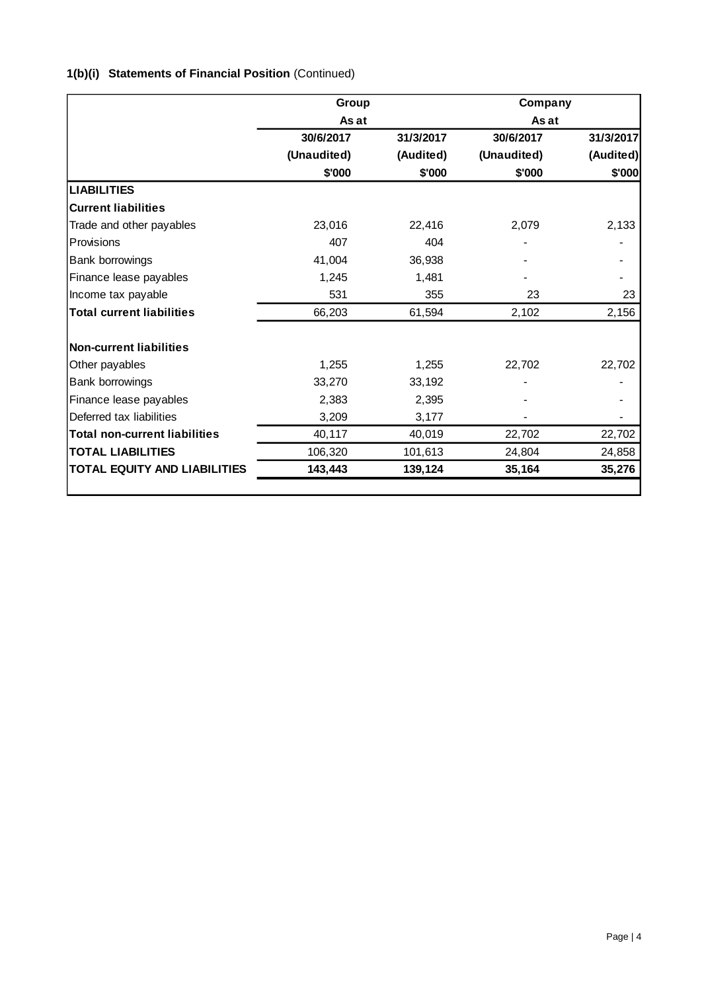# **1(b)(i) Statements of Financial Position** (Continued)

|                                      | Group       |           | Company     |           |  |
|--------------------------------------|-------------|-----------|-------------|-----------|--|
|                                      | As at       |           | As at       |           |  |
|                                      | 30/6/2017   | 31/3/2017 | 30/6/2017   | 31/3/2017 |  |
|                                      | (Unaudited) | (Audited) | (Unaudited) | (Audited) |  |
|                                      | \$'000      | \$'000    | \$'000      | \$'000    |  |
| <b>LIABILITIES</b>                   |             |           |             |           |  |
| <b>Current liabilities</b>           |             |           |             |           |  |
| Trade and other payables             | 23,016      | 22,416    | 2,079       | 2,133     |  |
| Provisions                           | 407         | 404       |             |           |  |
| Bank borrowings                      | 41,004      | 36,938    |             |           |  |
| Finance lease payables               | 1,245       | 1,481     |             |           |  |
| Income tax payable                   | 531         | 355       | 23          | 23        |  |
| <b>Total current liabilities</b>     | 66,203      | 61,594    | 2,102       | 2,156     |  |
| <b>Non-current liabilities</b>       |             |           |             |           |  |
| Other payables                       | 1,255       | 1,255     | 22,702      | 22,702    |  |
| Bank borrowings                      | 33,270      | 33,192    |             |           |  |
| Finance lease payables               | 2,383       | 2,395     |             |           |  |
| Deferred tax liabilities             | 3,209       | 3,177     |             |           |  |
| <b>Total non-current liabilities</b> | 40,117      | 40,019    | 22,702      | 22,702    |  |
| <b>TOTAL LIABILITIES</b>             | 106,320     | 101,613   | 24,804      | 24,858    |  |
| <b>TOTAL EQUITY AND LIABILITIES</b>  | 143,443     | 139,124   | 35,164      | 35,276    |  |
|                                      |             |           |             |           |  |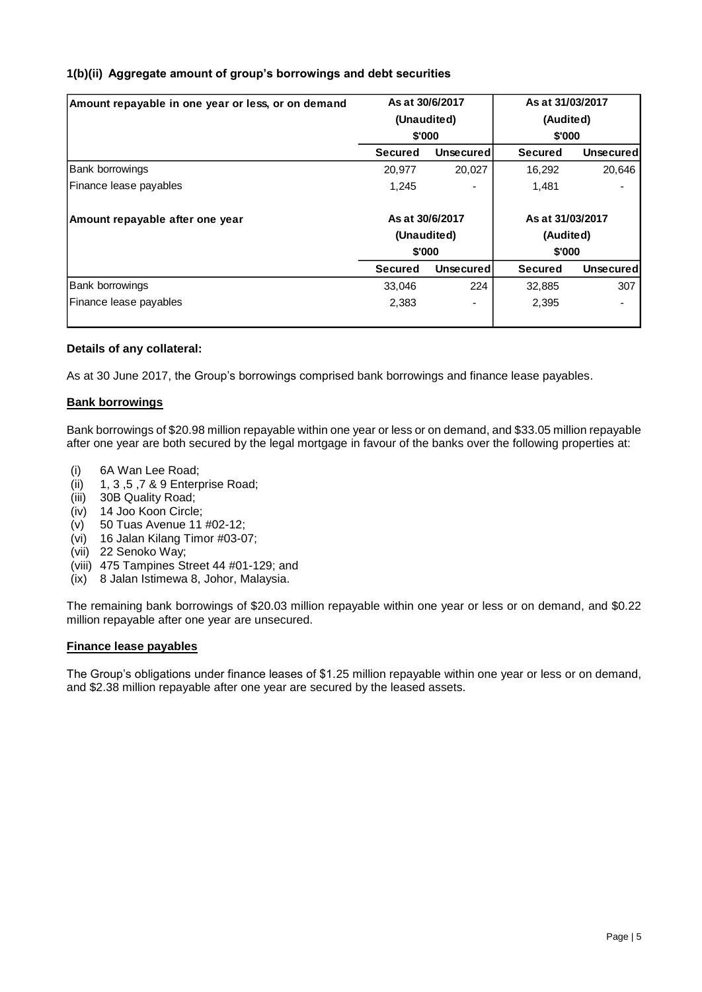# **1(b)(ii) Aggregate amount of group's borrowings and debt securities**

| Amount repayable in one year or less, or on demand |                 | As at 30/6/2017  | As at 31/03/2017 |                  |
|----------------------------------------------------|-----------------|------------------|------------------|------------------|
|                                                    |                 | (Unaudited)      | (Audited)        |                  |
|                                                    |                 | \$'000           | \$'000           |                  |
|                                                    | <b>Secured</b>  | <b>Unsecured</b> | <b>Secured</b>   | Unsecured        |
| Bank borrowings                                    | 20,977          | 20,027           | 16,292           | 20,646           |
| Finance lease payables                             | 1,245           |                  | 1,481            |                  |
| Amount repayable after one year                    | As at 30/6/2017 |                  | As at 31/03/2017 |                  |
|                                                    |                 | (Unaudited)      | (Audited)        |                  |
|                                                    |                 | \$'000           | \$'000           |                  |
|                                                    | Secured         | <b>Unsecured</b> | <b>Secured</b>   | <b>Unsecured</b> |
| Bank borrowings                                    | 33,046          | 224              | 32,885           | 307              |
| Finance lease payables                             | 2,383           |                  | 2,395            |                  |
|                                                    |                 |                  |                  |                  |

# **Details of any collateral:**

As at 30 June 2017, the Group's borrowings comprised bank borrowings and finance lease payables.

# **Bank borrowings**

Bank borrowings of \$20.98 million repayable within one year or less or on demand, and \$33.05 million repayable after one year are both secured by the legal mortgage in favour of the banks over the following properties at:

- (i) 6A Wan Lee Road;
- (ii) 1, 3 ,5 ,7 & 9 Enterprise Road;
- (iii) 30B Quality Road;
- (iv) 14 Joo Koon Circle;
- (v) 50 Tuas Avenue 11 #02-12;
- (vi) 16 Jalan Kilang Timor #03-07;
- (vii) 22 Senoko Way;
- (viii) 475 Tampines Street 44 #01-129; and
- (ix) 8 Jalan Istimewa 8, Johor, Malaysia.

The remaining bank borrowings of \$20.03 million repayable within one year or less or on demand, and \$0.22 million repayable after one year are unsecured.

#### **Finance lease payables**

The Group's obligations under finance leases of \$1.25 million repayable within one year or less or on demand, and \$2.38 million repayable after one year are secured by the leased assets.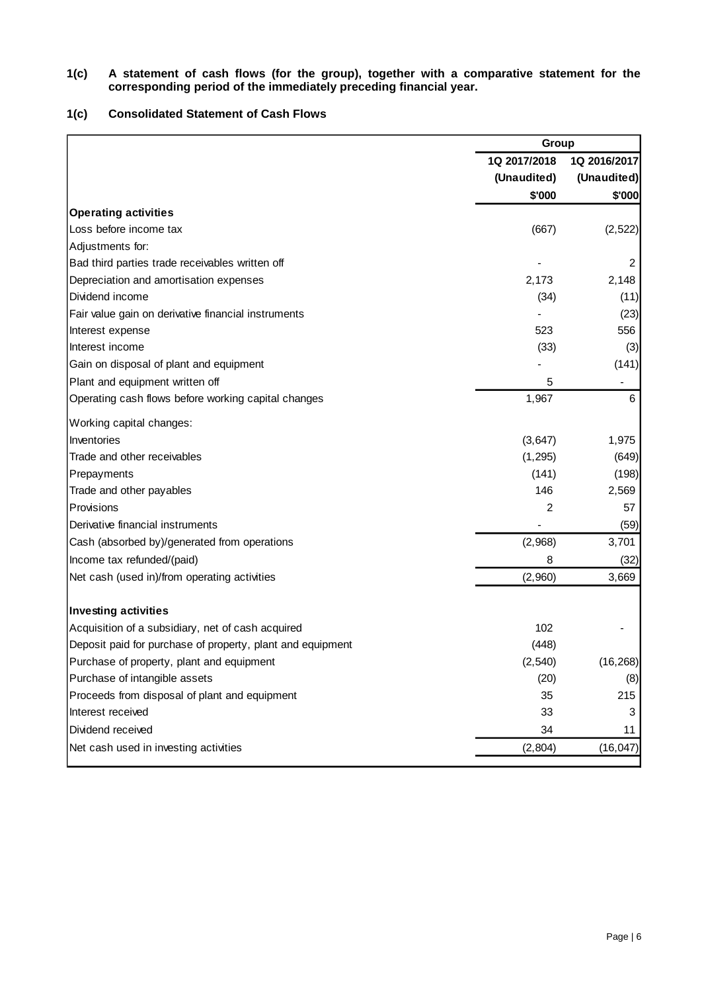#### **1(c) A statement of cash flows (for the group), together with a comparative statement for the corresponding period of the immediately preceding financial year.**

# **1(c) Consolidated Statement of Cash Flows**

|                                                            |              | Group        |  |  |
|------------------------------------------------------------|--------------|--------------|--|--|
|                                                            | 1Q 2017/2018 | 1Q 2016/2017 |  |  |
|                                                            | (Unaudited)  | (Unaudited)  |  |  |
|                                                            | \$'000       | \$'000       |  |  |
| <b>Operating activities</b>                                |              |              |  |  |
| Loss before income tax                                     | (667)        | (2, 522)     |  |  |
| Adjustments for:                                           |              |              |  |  |
| Bad third parties trade receivables written off            |              | 2            |  |  |
| Depreciation and amortisation expenses                     | 2,173        | 2,148        |  |  |
| Dividend income                                            | (34)         | (11)         |  |  |
| Fair value gain on derivative financial instruments        |              | (23)         |  |  |
| Interest expense                                           | 523          | 556          |  |  |
| Interest income                                            | (33)         | (3)          |  |  |
| Gain on disposal of plant and equipment                    |              | (141)        |  |  |
| Plant and equipment written off                            | 5            | -            |  |  |
| Operating cash flows before working capital changes        | 1,967        | 6            |  |  |
| Working capital changes:                                   |              |              |  |  |
| Inventories                                                | (3,647)      | 1,975        |  |  |
| Trade and other receivables                                | (1, 295)     | (649)        |  |  |
| Prepayments                                                | (141)        | (198)        |  |  |
| Trade and other payables                                   | 146          | 2,569        |  |  |
| Provisions                                                 | 2            | 57           |  |  |
| Derivative financial instruments                           |              | (59)         |  |  |
| Cash (absorbed by)/generated from operations               | (2,968)      | 3,701        |  |  |
| Income tax refunded/(paid)                                 | 8            | (32)         |  |  |
| Net cash (used in)/from operating activities               | (2,960)      | 3,669        |  |  |
| Investing activities                                       |              |              |  |  |
| Acquisition of a subsidiary, net of cash acquired          | 102          |              |  |  |
| Deposit paid for purchase of property, plant and equipment | (448)        |              |  |  |
| Purchase of property, plant and equipment                  | (2, 540)     | (16, 268)    |  |  |
| Purchase of intangible assets                              | (20)         | (8)          |  |  |
| Proceeds from disposal of plant and equipment              | 35           | 215          |  |  |
| Interest received                                          | 33           | 3            |  |  |
| Dividend received                                          | 34           | 11           |  |  |
| Net cash used in investing activities                      | (2,804)      | (16, 047)    |  |  |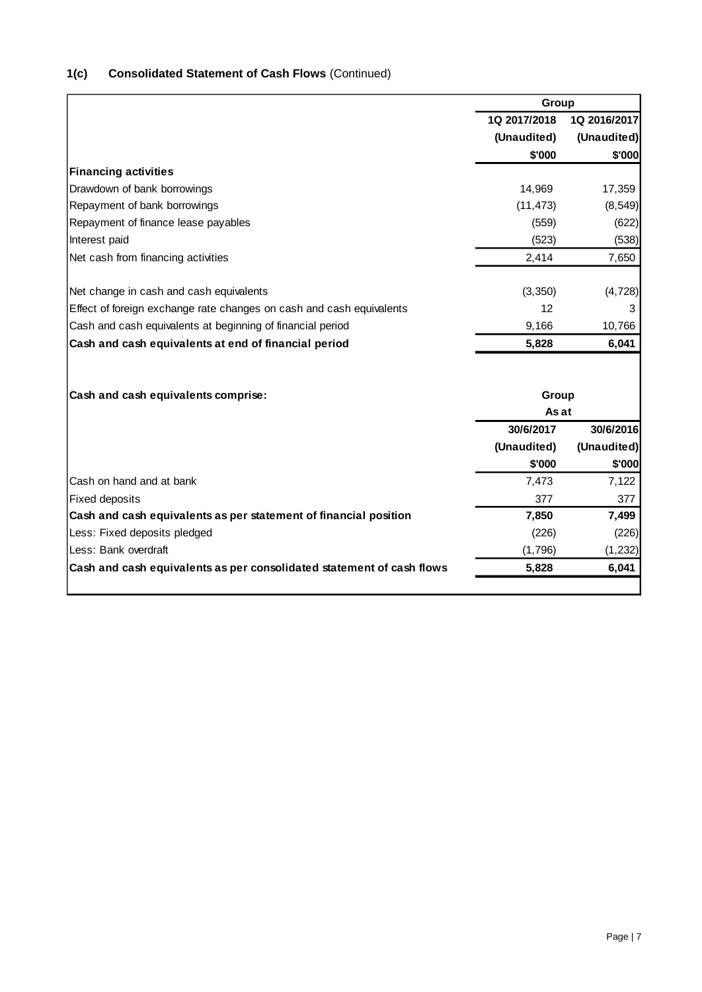| 1(c) | <b>Consolidated Statement of Cash Flows (Continued)</b> |  |
|------|---------------------------------------------------------|--|
|------|---------------------------------------------------------|--|

|                                                                       | Group        |              |  |
|-----------------------------------------------------------------------|--------------|--------------|--|
|                                                                       | 1Q 2017/2018 | 1Q 2016/2017 |  |
|                                                                       | (Unaudited)  | (Unaudited)  |  |
|                                                                       | \$'000       | \$'000       |  |
| <b>Financing activities</b>                                           |              |              |  |
| Drawdown of bank borrowings                                           | 14,969       | 17,359       |  |
| Repayment of bank borrowings                                          | (11, 473)    | (8, 549)     |  |
| Repayment of finance lease payables                                   | (559)        | (622)        |  |
| Interest paid                                                         | (523)        | (538)        |  |
| Net cash from financing activities                                    | 2,414        | 7,650        |  |
| Net change in cash and cash equivalents                               | (3, 350)     | (4, 728)     |  |
| Effect of foreign exchange rate changes on cash and cash equivalents  | 12           | 3            |  |
| Cash and cash equivalents at beginning of financial period            | 9,166        | 10,766       |  |
| Cash and cash equivalents at end of financial period                  | 5,828        | 6,041        |  |
|                                                                       |              |              |  |
| Cash and cash equivalents comprise:                                   | Group        |              |  |
|                                                                       | As at        |              |  |
|                                                                       | 30/6/2017    | 30/6/2016    |  |
|                                                                       | (Unaudited)  | (Unaudited)  |  |
|                                                                       | \$'000       | \$'000       |  |
| Cash on hand and at bank                                              | 7,473        | 7,122        |  |
| <b>Fixed deposits</b>                                                 | 377          | 377          |  |
| Cash and cash equivalents as per statement of financial position      | 7,850        | 7,499        |  |
| Less: Fixed deposits pledged                                          | (226)        | (226)        |  |
| Less: Bank overdraft                                                  | (1,796)      | (1, 232)     |  |
| Cash and cash equivalents as per consolidated statement of cash flows | 5,828        | 6,041        |  |
|                                                                       |              |              |  |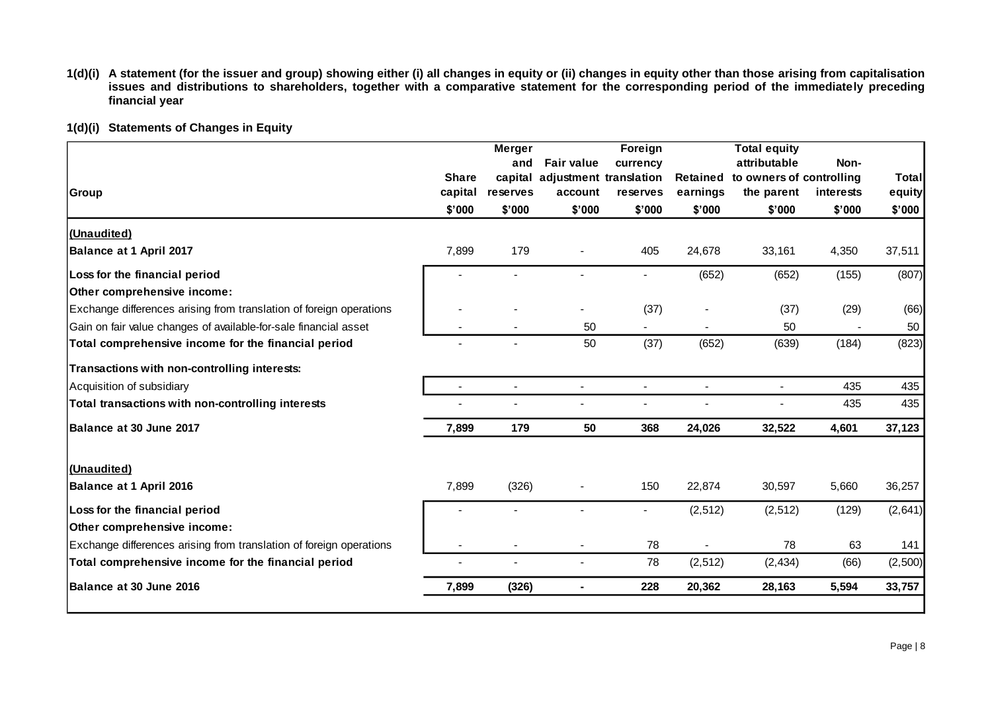**1(d)(i) A statement (for the issuer and group) showing either (i) all changes in equity or (ii) changes in equity other than those arising from capitalisation issues and distributions to shareholders, together with a comparative statement for the corresponding period of the immediately preceding financial year**

| <b>Share</b><br>capital<br>\$'000 | <b>Merger</b><br>and<br>reserves<br>\$'000 | <b>Fair value</b><br>account<br>\$'000 | Foreign<br>currency<br>reserves<br>\$'000 | <b>Retained</b><br>earnings<br>\$'000 | <b>Total equity</b><br>attributable<br>the parent<br>\$'000 | Non-<br>interests<br>\$'000 | <b>Total</b><br>equity<br>\$'000 |
|-----------------------------------|--------------------------------------------|----------------------------------------|-------------------------------------------|---------------------------------------|-------------------------------------------------------------|-----------------------------|----------------------------------|
|                                   |                                            |                                        |                                           |                                       |                                                             |                             |                                  |
| 7,899                             | 179                                        |                                        | 405                                       | 24,678                                | 33,161                                                      | 4,350                       | 37,511                           |
|                                   |                                            |                                        |                                           | (652)                                 | (652)                                                       | (155)                       | (807)                            |
|                                   |                                            |                                        | (37)                                      |                                       | (37)                                                        | (29)                        | (66)                             |
|                                   |                                            | 50                                     |                                           |                                       | 50                                                          |                             | 50                               |
|                                   |                                            | 50                                     | (37)                                      | (652)                                 | (639)                                                       | (184)                       | (823)                            |
|                                   |                                            |                                        |                                           |                                       |                                                             |                             |                                  |
| $\sim$                            | $\blacksquare$                             | $\sim$                                 | $\blacksquare$                            | $\blacksquare$                        | $\blacksquare$                                              | 435                         | 435                              |
|                                   |                                            |                                        | $\blacksquare$                            |                                       |                                                             | 435                         | 435                              |
| 7,899                             | 179                                        | 50                                     | 368                                       | 24,026                                | 32,522                                                      | 4,601                       | 37,123                           |
|                                   |                                            |                                        |                                           |                                       |                                                             |                             |                                  |
| 7,899                             | (326)                                      |                                        | 150                                       | 22,874                                | 30,597                                                      | 5,660                       | 36,257                           |
|                                   |                                            |                                        |                                           | (2, 512)                              | (2, 512)                                                    | (129)                       | (2,641)                          |
|                                   |                                            |                                        |                                           |                                       |                                                             |                             |                                  |
|                                   |                                            |                                        | 78                                        |                                       | 78                                                          | 63                          | 141                              |
|                                   |                                            |                                        | 78                                        | (2, 512)                              | (2, 434)                                                    | (66)                        | (2,500)                          |
| 7,899                             | (326)                                      | ٠                                      | 228                                       | 20,362                                | 28,163                                                      | 5,594                       | 33,757                           |
|                                   |                                            |                                        |                                           | capital adjustment translation        |                                                             |                             | to owners of controlling         |

**1(d)(i) Statements of Changes in Equity**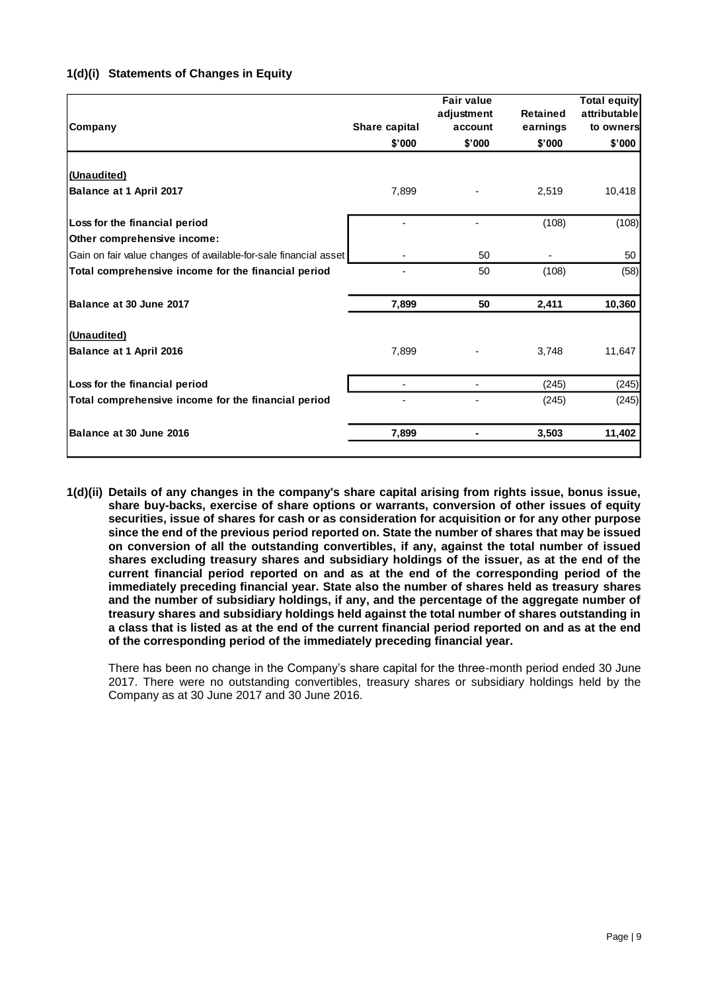# **1(d)(i) Statements of Changes in Equity**

| Company                                                          | Share capital | <b>Fair value</b><br>adjustment<br>account | <b>Retained</b><br>earnings | <b>Total equity</b><br>attributable<br>to owners |
|------------------------------------------------------------------|---------------|--------------------------------------------|-----------------------------|--------------------------------------------------|
|                                                                  | \$'000        | \$'000                                     | \$'000                      | \$'000                                           |
| (Unaudited)                                                      |               |                                            |                             |                                                  |
| Balance at 1 April 2017                                          | 7,899         |                                            | 2,519                       | 10,418                                           |
| Loss for the financial period                                    |               |                                            | (108)                       | (108)                                            |
| Other comprehensive income:                                      |               |                                            |                             |                                                  |
| Gain on fair value changes of available-for-sale financial asset |               | 50                                         |                             | 50                                               |
| Total comprehensive income for the financial period              |               | 50                                         | (108)                       | (58)                                             |
| Balance at 30 June 2017                                          | 7,899         | 50                                         | 2,411                       | 10,360                                           |
| (Unaudited)                                                      |               |                                            |                             |                                                  |
| Balance at 1 April 2016                                          | 7,899         |                                            | 3,748                       | 11,647                                           |
| Loss for the financial period                                    |               |                                            | (245)                       | (245)                                            |
| Total comprehensive income for the financial period              |               |                                            | (245)                       | (245)                                            |
| Balance at 30 June 2016                                          | 7,899         |                                            | 3,503                       | 11,402                                           |
|                                                                  |               |                                            |                             |                                                  |

**1(d)(ii) Details of any changes in the company's share capital arising from rights issue, bonus issue, share buy-backs, exercise of share options or warrants, conversion of other issues of equity securities, issue of shares for cash or as consideration for acquisition or for any other purpose since the end of the previous period reported on. State the number of shares that may be issued on conversion of all the outstanding convertibles, if any, against the total number of issued shares excluding treasury shares and subsidiary holdings of the issuer, as at the end of the current financial period reported on and as at the end of the corresponding period of the immediately preceding financial year. State also the number of shares held as treasury shares and the number of subsidiary holdings, if any, and the percentage of the aggregate number of treasury shares and subsidiary holdings held against the total number of shares outstanding in a class that is listed as at the end of the current financial period reported on and as at the end of the corresponding period of the immediately preceding financial year.**

There has been no change in the Company's share capital for the three-month period ended 30 June 2017. There were no outstanding convertibles, treasury shares or subsidiary holdings held by the Company as at 30 June 2017 and 30 June 2016.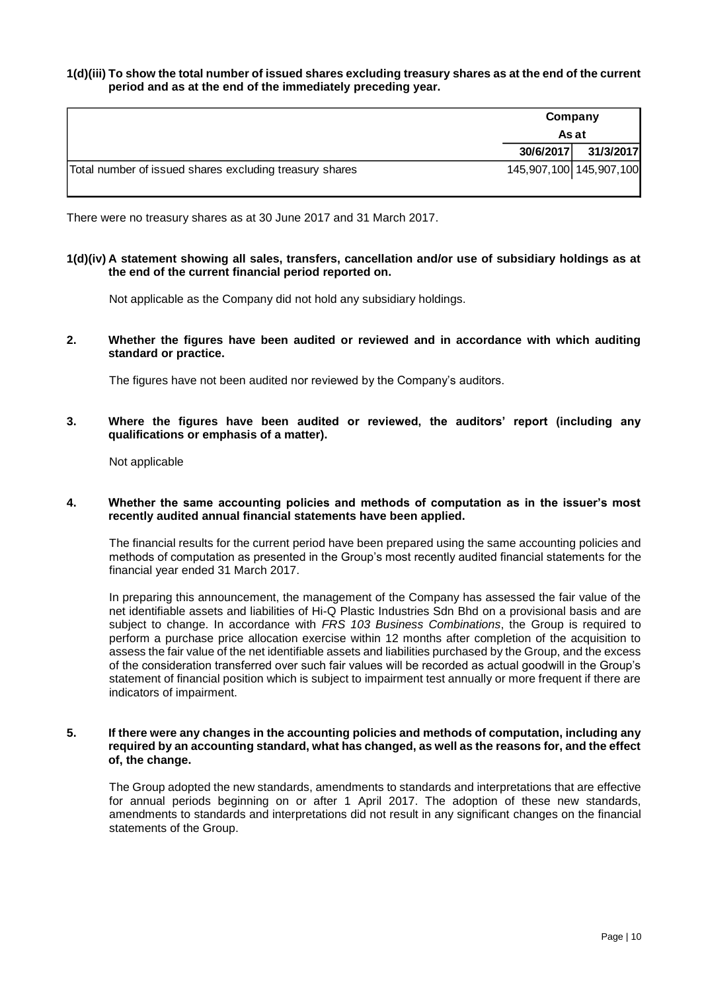#### **1(d)(iii) To show the total number of issued shares excluding treasury shares as at the end of the current period and as at the end of the immediately preceding year.**

|                                                         |           | Company                 |  |  |
|---------------------------------------------------------|-----------|-------------------------|--|--|
|                                                         | As at     |                         |  |  |
|                                                         | 30/6/2017 | 31/3/2017               |  |  |
| Total number of issued shares excluding treasury shares |           | 145,907,100 145,907,100 |  |  |

There were no treasury shares as at 30 June 2017 and 31 March 2017.

#### **1(d)(iv) A statement showing all sales, transfers, cancellation and/or use of subsidiary holdings as at the end of the current financial period reported on.**

Not applicable as the Company did not hold any subsidiary holdings.

**2. Whether the figures have been audited or reviewed and in accordance with which auditing standard or practice.**

The figures have not been audited nor reviewed by the Company's auditors.

**3. Where the figures have been audited or reviewed, the auditors' report (including any qualifications or emphasis of a matter).**

Not applicable

#### **4. Whether the same accounting policies and methods of computation as in the issuer's most recently audited annual financial statements have been applied.**

The financial results for the current period have been prepared using the same accounting policies and methods of computation as presented in the Group's most recently audited financial statements for the financial year ended 31 March 2017.

In preparing this announcement, the management of the Company has assessed the fair value of the net identifiable assets and liabilities of Hi-Q Plastic Industries Sdn Bhd on a provisional basis and are subject to change. In accordance with *FRS 103 Business Combinations*, the Group is required to perform a purchase price allocation exercise within 12 months after completion of the acquisition to assess the fair value of the net identifiable assets and liabilities purchased by the Group, and the excess of the consideration transferred over such fair values will be recorded as actual goodwill in the Group's statement of financial position which is subject to impairment test annually or more frequent if there are indicators of impairment.

#### **5. If there were any changes in the accounting policies and methods of computation, including any required by an accounting standard, what has changed, as well as the reasons for, and the effect of, the change.**

The Group adopted the new standards, amendments to standards and interpretations that are effective for annual periods beginning on or after 1 April 2017. The adoption of these new standards, amendments to standards and interpretations did not result in any significant changes on the financial statements of the Group.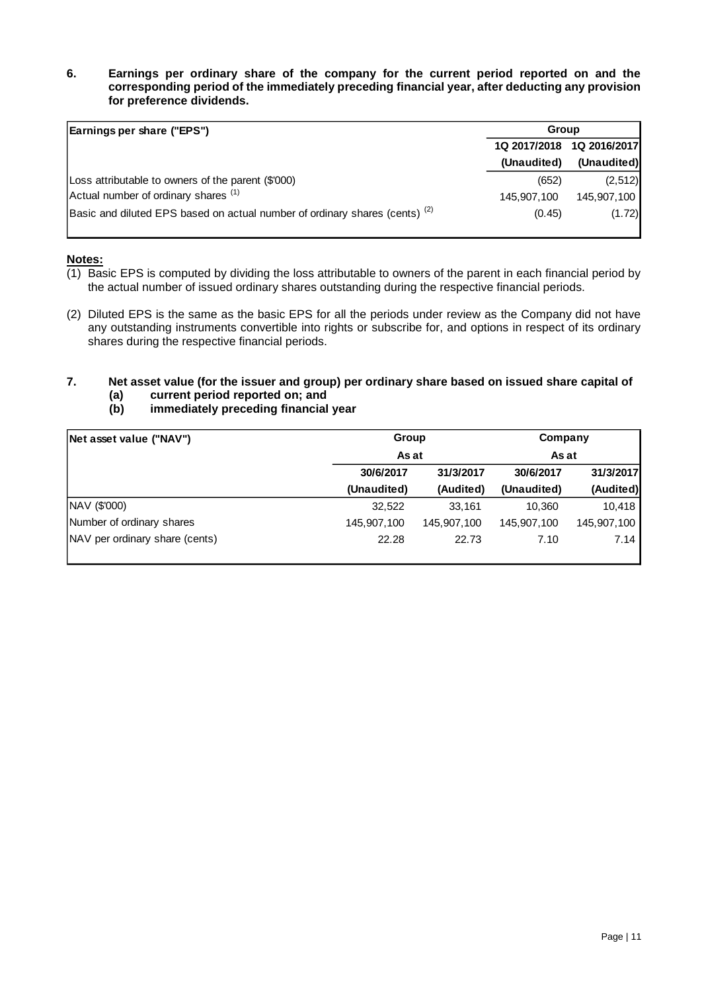#### **6. Earnings per ordinary share of the company for the current period reported on and the corresponding period of the immediately preceding financial year, after deducting any provision for preference dividends.**

| Earnings per share ("EPS")                                                             |             | <b>Group</b>              |  |
|----------------------------------------------------------------------------------------|-------------|---------------------------|--|
|                                                                                        |             | 1Q 2017/2018 1Q 2016/2017 |  |
|                                                                                        | (Unaudited) | (Unaudited)               |  |
| Loss attributable to owners of the parent (\$'000)                                     | (652)       | (2,512)                   |  |
| Actual number of ordinary shares <sup>(1)</sup>                                        | 145.907.100 | 145.907.100               |  |
| Basic and diluted EPS based on actual number of ordinary shares (cents) <sup>(2)</sup> | (0.45)      | (1.72)                    |  |

# **Notes:**

- (1) Basic EPS is computed by dividing the loss attributable to owners of the parent in each financial period by the actual number of issued ordinary shares outstanding during the respective financial periods.
- (2) Diluted EPS is the same as the basic EPS for all the periods under review as the Company did not have any outstanding instruments convertible into rights or subscribe for, and options in respect of its ordinary shares during the respective financial periods.

# **7. Net asset value (for the issuer and group) per ordinary share based on issued share capital of**

- **(a) current period reported on; and**
- **(b) immediately preceding financial year**

| Net asset value ("NAV")        | Group       |             | Company     |             |
|--------------------------------|-------------|-------------|-------------|-------------|
|                                | As at       |             | As at       |             |
|                                | 30/6/2017   | 31/3/2017   | 30/6/2017   | 31/3/2017   |
|                                | (Unaudited) | (Audited)   | (Unaudited) | (Audited)   |
| NAV (\$'000)                   | 32.522      | 33.161      | 10.360      | 10.418      |
| Number of ordinary shares      | 145,907,100 | 145,907,100 | 145,907,100 | 145,907,100 |
| NAV per ordinary share (cents) | 22.28       | 22.73       | 7.10        | 7.14        |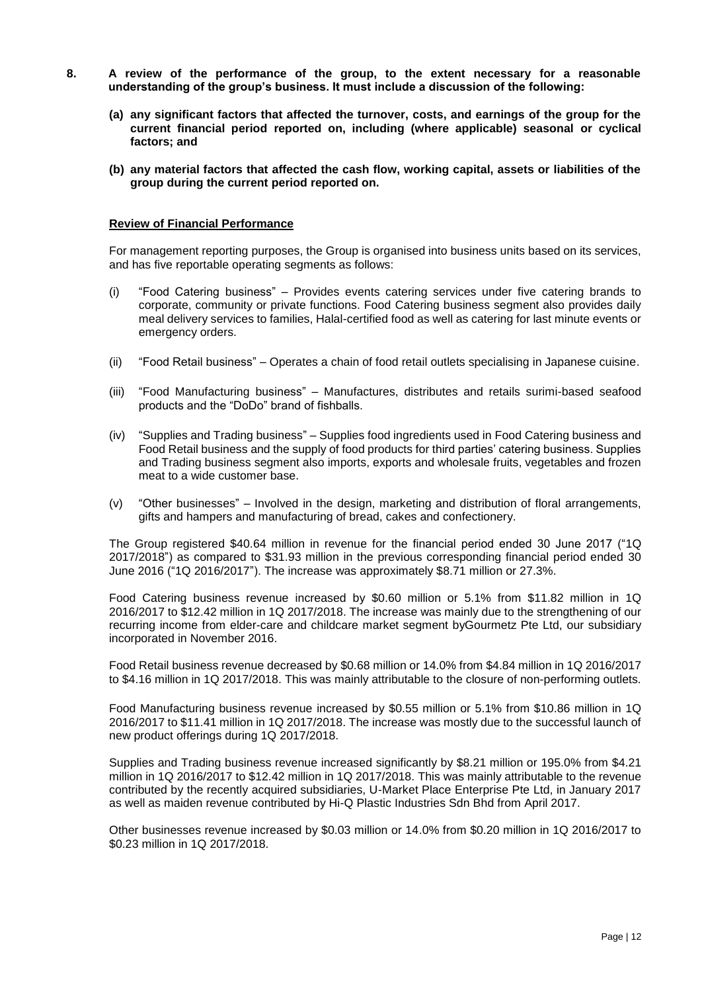- **8. A review of the performance of the group, to the extent necessary for a reasonable understanding of the group's business. It must include a discussion of the following:**
	- **(a) any significant factors that affected the turnover, costs, and earnings of the group for the current financial period reported on, including (where applicable) seasonal or cyclical factors; and**
	- **(b) any material factors that affected the cash flow, working capital, assets or liabilities of the group during the current period reported on.**

#### **Review of Financial Performance**

For management reporting purposes, the Group is organised into business units based on its services, and has five reportable operating segments as follows:

- (i) "Food Catering business" Provides events catering services under five catering brands to corporate, community or private functions. Food Catering business segment also provides daily meal delivery services to families, Halal-certified food as well as catering for last minute events or emergency orders.
- (ii) "Food Retail business" Operates a chain of food retail outlets specialising in Japanese cuisine.
- (iii) "Food Manufacturing business" Manufactures, distributes and retails surimi-based seafood products and the "DoDo" brand of fishballs.
- (iv) "Supplies and Trading business" Supplies food ingredients used in Food Catering business and Food Retail business and the supply of food products for third parties' catering business. Supplies and Trading business segment also imports, exports and wholesale fruits, vegetables and frozen meat to a wide customer base.
- (v) "Other businesses" Involved in the design, marketing and distribution of floral arrangements, gifts and hampers and manufacturing of bread, cakes and confectionery.

The Group registered \$40.64 million in revenue for the financial period ended 30 June 2017 ("1Q 2017/2018") as compared to \$31.93 million in the previous corresponding financial period ended 30 June 2016 ("1Q 2016/2017"). The increase was approximately \$8.71 million or 27.3%.

Food Catering business revenue increased by \$0.60 million or 5.1% from \$11.82 million in 1Q 2016/2017 to \$12.42 million in 1Q 2017/2018. The increase was mainly due to the strengthening of our recurring income from elder-care and childcare market segment byGourmetz Pte Ltd, our subsidiary incorporated in November 2016.

Food Retail business revenue decreased by \$0.68 million or 14.0% from \$4.84 million in 1Q 2016/2017 to \$4.16 million in 1Q 2017/2018. This was mainly attributable to the closure of non-performing outlets.

Food Manufacturing business revenue increased by \$0.55 million or 5.1% from \$10.86 million in 1Q 2016/2017 to \$11.41 million in 1Q 2017/2018. The increase was mostly due to the successful launch of new product offerings during 1Q 2017/2018.

Supplies and Trading business revenue increased significantly by \$8.21 million or 195.0% from \$4.21 million in 1Q 2016/2017 to \$12.42 million in 1Q 2017/2018. This was mainly attributable to the revenue contributed by the recently acquired subsidiaries, U-Market Place Enterprise Pte Ltd, in January 2017 as well as maiden revenue contributed by Hi-Q Plastic Industries Sdn Bhd from April 2017.

Other businesses revenue increased by \$0.03 million or 14.0% from \$0.20 million in 1Q 2016/2017 to \$0.23 million in 1Q 2017/2018.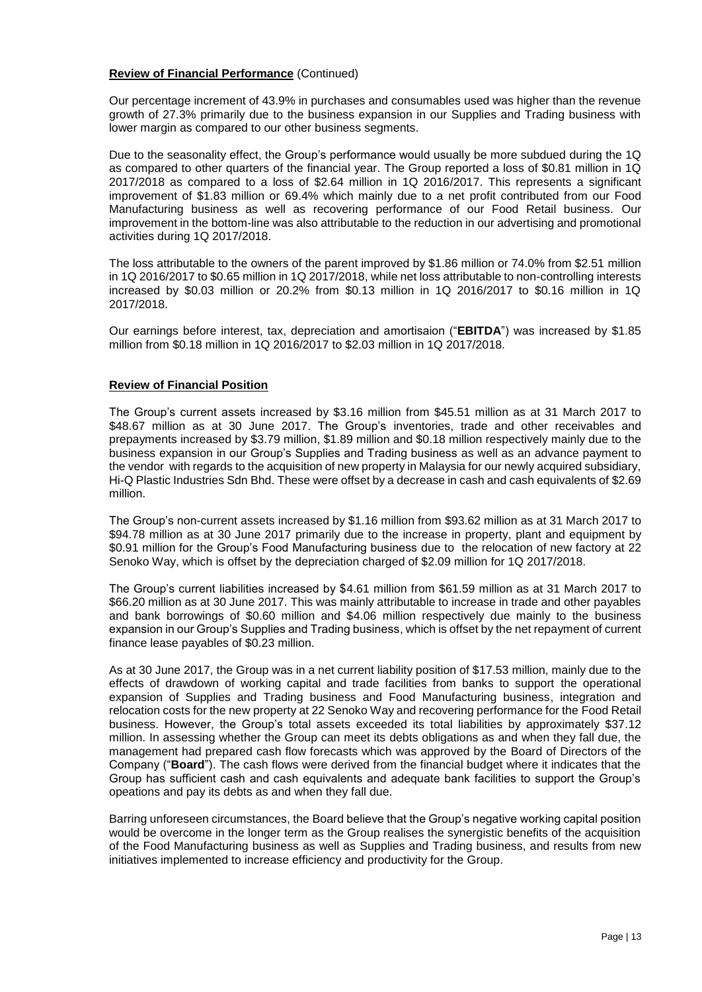#### **Review of Financial Performance** (Continued)

Our percentage increment of 43.9% in purchases and consumables used was higher than the revenue growth of 27.3% primarily due to the business expansion in our Supplies and Trading business with lower margin as compared to our other business segments.

Due to the seasonality effect, the Group's performance would usually be more subdued during the 1Q as compared to other quarters of the financial year. The Group reported a loss of \$0.81 million in 1Q 2017/2018 as compared to a loss of \$2.64 million in 1Q 2016/2017. This represents a significant improvement of \$1.83 million or 69.4% which mainly due to a net profit contributed from our Food Manufacturing business as well as recovering performance of our Food Retail business. Our improvement in the bottom-line was also attributable to the reduction in our advertising and promotional activities during 1Q 2017/2018.

The loss attributable to the owners of the parent improved by \$1.86 million or 74.0% from \$2.51 million in 1Q 2016/2017 to \$0.65 million in 1Q 2017/2018, while net loss attributable to non-controlling interests increased by \$0.03 million or 20.2% from \$0.13 million in 1Q 2016/2017 to \$0.16 million in 1Q 2017/2018.

Our earnings before interest, tax, depreciation and amortisaion ("**EBITDA**") was increased by \$1.85 million from \$0.18 million in 1Q 2016/2017 to \$2.03 million in 1Q 2017/2018.

#### **Review of Financial Position**

The Group's current assets increased by \$3.16 million from \$45.51 million as at 31 March 2017 to \$48.67 million as at 30 June 2017. The Group's inventories, trade and other receivables and prepayments increased by \$3.79 million, \$1.89 million and \$0.18 million respectively mainly due to the business expansion in our Group's Supplies and Trading business as well as an advance payment to the vendor with regards to the acquisition of new property in Malaysia for our newly acquired subsidiary, Hi-Q Plastic Industries Sdn Bhd. These were offset by a decrease in cash and cash equivalents of \$2.69 million.

The Group's non-current assets increased by \$1.16 million from \$93.62 million as at 31 March 2017 to \$94.78 million as at 30 June 2017 primarily due to the increase in property, plant and equipment by \$0.91 million for the Group's Food Manufacturing business due to the relocation of new factory at 22 Senoko Way, which is offset by the depreciation charged of \$2.09 million for 1Q 2017/2018.

The Group's current liabilities increased by \$4.61 million from \$61.59 million as at 31 March 2017 to \$66.20 million as at 30 June 2017. This was mainly attributable to increase in trade and other payables and bank borrowings of \$0.60 million and \$4.06 million respectively due mainly to the business expansion in our Group's Supplies and Trading business, which is offset by the net repayment of current finance lease payables of \$0.23 million.

As at 30 June 2017, the Group was in a net current liability position of \$17.53 million, mainly due to the effects of drawdown of working capital and trade facilities from banks to support the operational expansion of Supplies and Trading business and Food Manufacturing business, integration and relocation costs for the new property at 22 Senoko Way and recovering performance for the Food Retail business. However, the Group's total assets exceeded its total liabilities by approximately \$37.12 million. In assessing whether the Group can meet its debts obligations as and when they fall due, the management had prepared cash flow forecasts which was approved by the Board of Directors of the Company ("**Board**"). The cash flows were derived from the financial budget where it indicates that the Group has sufficient cash and cash equivalents and adequate bank facilities to support the Group's opeations and pay its debts as and when they fall due.

Barring unforeseen circumstances, the Board believe that the Group's negative working capital position would be overcome in the longer term as the Group realises the synergistic benefits of the acquisition of the Food Manufacturing business as well as Supplies and Trading business, and results from new initiatives implemented to increase efficiency and productivity for the Group.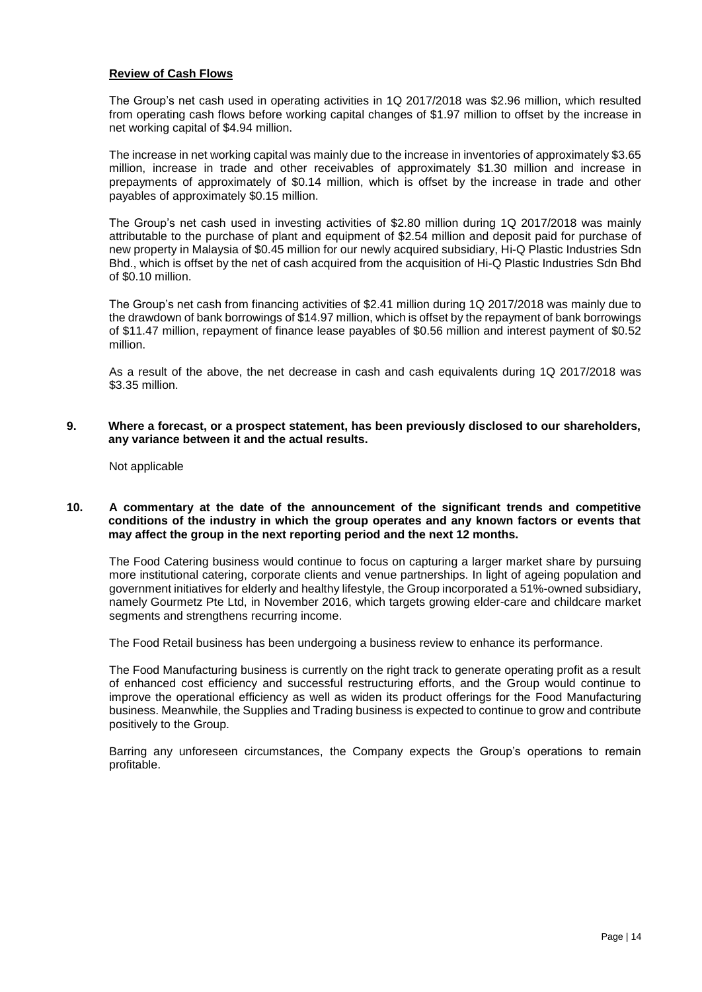#### **Review of Cash Flows**

The Group's net cash used in operating activities in 1Q 2017/2018 was \$2.96 million, which resulted from operating cash flows before working capital changes of \$1.97 million to offset by the increase in net working capital of \$4.94 million.

The increase in net working capital was mainly due to the increase in inventories of approximately \$3.65 million, increase in trade and other receivables of approximately \$1.30 million and increase in prepayments of approximately of \$0.14 million, which is offset by the increase in trade and other payables of approximately \$0.15 million.

The Group's net cash used in investing activities of \$2.80 million during 1Q 2017/2018 was mainly attributable to the purchase of plant and equipment of \$2.54 million and deposit paid for purchase of new property in Malaysia of \$0.45 million for our newly acquired subsidiary, Hi-Q Plastic Industries Sdn Bhd., which is offset by the net of cash acquired from the acquisition of Hi-Q Plastic Industries Sdn Bhd of \$0.10 million.

The Group's net cash from financing activities of \$2.41 million during 1Q 2017/2018 was mainly due to the drawdown of bank borrowings of \$14.97 million, which is offset by the repayment of bank borrowings of \$11.47 million, repayment of finance lease payables of \$0.56 million and interest payment of \$0.52 million.

As a result of the above, the net decrease in cash and cash equivalents during 1Q 2017/2018 was \$3.35 million.

**9. Where a forecast, or a prospect statement, has been previously disclosed to our shareholders, any variance between it and the actual results.**

Not applicable

**10. A commentary at the date of the announcement of the significant trends and competitive conditions of the industry in which the group operates and any known factors or events that may affect the group in the next reporting period and the next 12 months.**

The Food Catering business would continue to focus on capturing a larger market share by pursuing more institutional catering, corporate clients and venue partnerships. In light of ageing population and government initiatives for elderly and healthy lifestyle, the Group incorporated a 51%-owned subsidiary, namely Gourmetz Pte Ltd, in November 2016, which targets growing elder-care and childcare market segments and strengthens recurring income.

The Food Retail business has been undergoing a business review to enhance its performance.

The Food Manufacturing business is currently on the right track to generate operating profit as a result of enhanced cost efficiency and successful restructuring efforts, and the Group would continue to improve the operational efficiency as well as widen its product offerings for the Food Manufacturing business. Meanwhile, the Supplies and Trading business is expected to continue to grow and contribute positively to the Group.

Barring any unforeseen circumstances, the Company expects the Group's operations to remain profitable.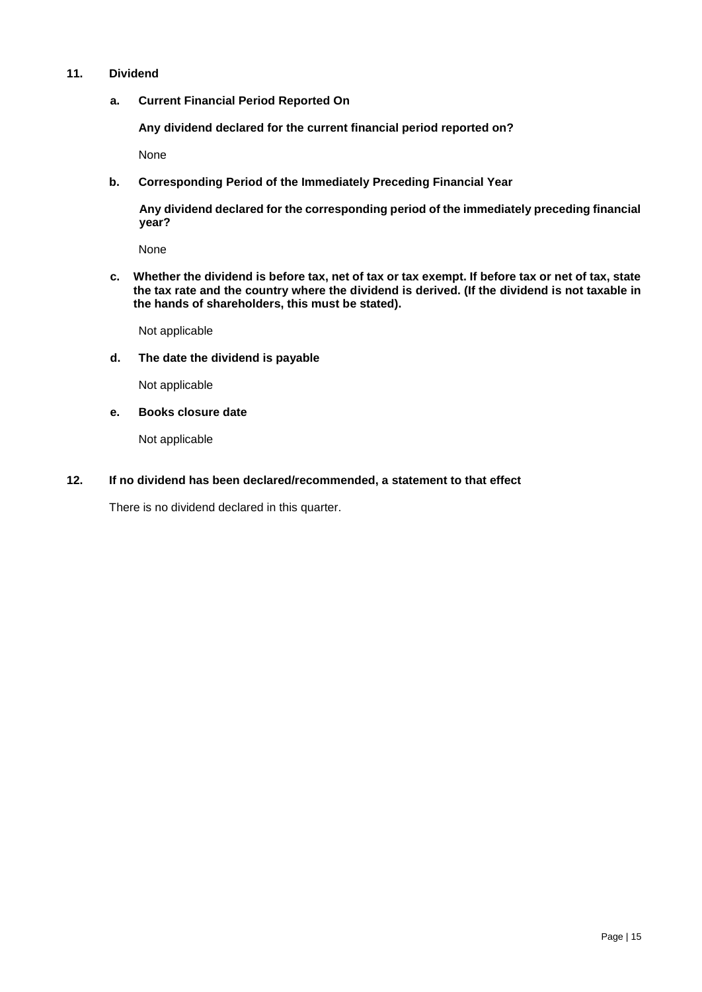# **11. Dividend**

**a. Current Financial Period Reported On**

**Any dividend declared for the current financial period reported on?** 

None

**b. Corresponding Period of the Immediately Preceding Financial Year**

**Any dividend declared for the corresponding period of the immediately preceding financial year?**

None

**c. Whether the dividend is before tax, net of tax or tax exempt. If before tax or net of tax, state the tax rate and the country where the dividend is derived. (If the dividend is not taxable in the hands of shareholders, this must be stated).**

Not applicable

**d. The date the dividend is payable**

Not applicable

**e. Books closure date**

Not applicable

**12. If no dividend has been declared/recommended, a statement to that effect**

There is no dividend declared in this quarter.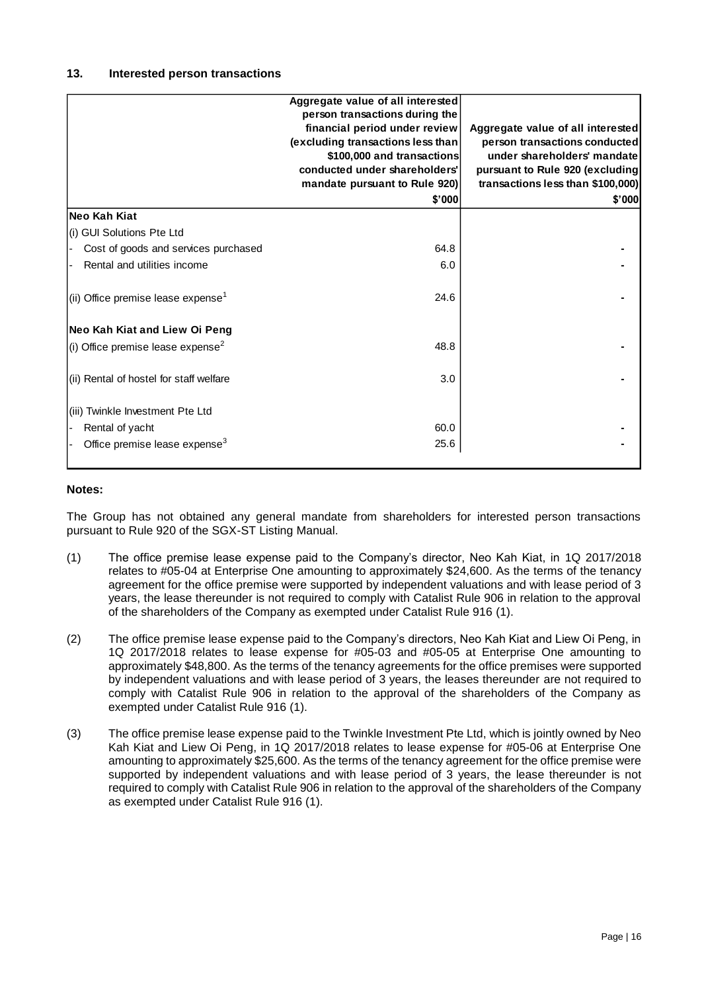|                                                | Aggregate value of all interested |                                   |
|------------------------------------------------|-----------------------------------|-----------------------------------|
|                                                | person transactions during the    |                                   |
|                                                | financial period under review     | Aggregate value of all interested |
|                                                | (excluding transactions less than | person transactions conducted     |
|                                                | \$100,000 and transactions        | under shareholders' mandate       |
|                                                | conducted under shareholders'     | pursuant to Rule 920 (excluding   |
|                                                | mandate pursuant to Rule 920)     | transactions less than \$100,000) |
|                                                | \$'000                            | \$'000                            |
| Neo Kah Kiat                                   |                                   |                                   |
| (i) GUI Solutions Pte Ltd                      |                                   |                                   |
| Cost of goods and services purchased           | 64.8                              |                                   |
| Rental and utilities income                    | 6.0                               |                                   |
| (ii) Office premise lease expense <sup>1</sup> | 24.6                              |                                   |
| Neo Kah Kiat and Liew Oi Peng                  |                                   |                                   |
| (i) Office premise lease expense <sup>2</sup>  | 48.8                              |                                   |
| (ii) Rental of hostel for staff welfare        | 3.0                               |                                   |
| (iii) Twinkle Investment Pte Ltd               |                                   |                                   |
| Rental of yacht                                | 60.0                              |                                   |
| Office premise lease expense <sup>3</sup>      | 25.6                              |                                   |
|                                                |                                   |                                   |

# **Notes:**

The Group has not obtained any general mandate from shareholders for interested person transactions pursuant to Rule 920 of the SGX-ST Listing Manual.

- (1) The office premise lease expense paid to the Company's director, Neo Kah Kiat, in 1Q 2017/2018 relates to #05-04 at Enterprise One amounting to approximately \$24,600. As the terms of the tenancy agreement for the office premise were supported by independent valuations and with lease period of 3 years, the lease thereunder is not required to comply with Catalist Rule 906 in relation to the approval of the shareholders of the Company as exempted under Catalist Rule 916 (1).
- (2) The office premise lease expense paid to the Company's directors, Neo Kah Kiat and Liew Oi Peng, in 1Q 2017/2018 relates to lease expense for #05-03 and #05-05 at Enterprise One amounting to approximately \$48,800. As the terms of the tenancy agreements for the office premises were supported by independent valuations and with lease period of 3 years, the leases thereunder are not required to comply with Catalist Rule 906 in relation to the approval of the shareholders of the Company as exempted under Catalist Rule 916 (1).
- (3) The office premise lease expense paid to the Twinkle Investment Pte Ltd, which is jointly owned by Neo Kah Kiat and Liew Oi Peng, in 1Q 2017/2018 relates to lease expense for #05-06 at Enterprise One amounting to approximately \$25,600. As the terms of the tenancy agreement for the office premise were supported by independent valuations and with lease period of 3 years, the lease thereunder is not required to comply with Catalist Rule 906 in relation to the approval of the shareholders of the Company as exempted under Catalist Rule 916 (1).